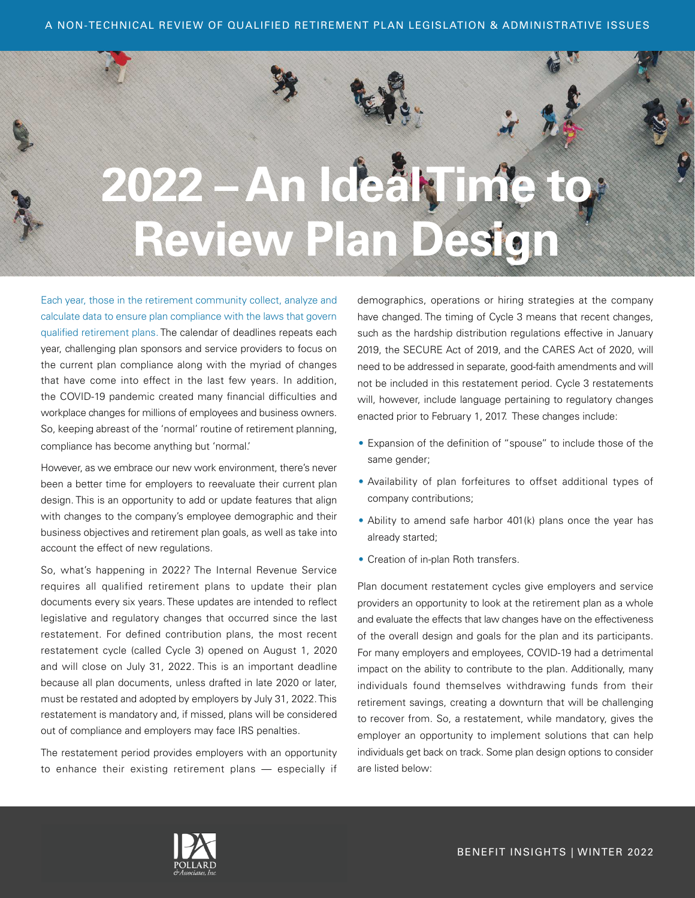

Each year, those in the retirement community collect, analyze and calculate data to ensure plan compliance with the laws that govern qualified retirement plans. The calendar of deadlines repeats each year, challenging plan sponsors and service providers to focus on the current plan compliance along with the myriad of changes that have come into effect in the last few years. In addition, the COVID-19 pandemic created many financial difficulties and workplace changes for millions of employees and business owners. So, keeping abreast of the 'normal' routine of retirement planning, compliance has become anything but 'normal.'

However, as we embrace our new work environment, there's never been a better time for employers to reevaluate their current plan design. This is an opportunity to add or update features that align with changes to the company's employee demographic and their business objectives and retirement plan goals, as well as take into account the effect of new regulations.

So, what's happening in 2022? The Internal Revenue Service requires all qualified retirement plans to update their plan documents every six years. These updates are intended to reflect legislative and regulatory changes that occurred since the last restatement. For defined contribution plans, the most recent restatement cycle (called Cycle 3) opened on August 1, 2020 and will close on July 31, 2022. This is an important deadline because all plan documents, unless drafted in late 2020 or later, must be restated and adopted by employers by July 31, 2022. This restatement is mandatory and, if missed, plans will be considered out of compliance and employers may face IRS penalties.

The restatement period provides employers with an opportunity to enhance their existing retirement plans — especially if

demographics, operations or hiring strategies at the company have changed. The timing of Cycle 3 means that recent changes, such as the hardship distribution regulations effective in January 2019, the SECURE Act of 2019, and the CARES Act of 2020, will need to be addressed in separate, good-faith amendments and will not be included in this restatement period. Cycle 3 restatements will, however, include language pertaining to regulatory changes enacted prior to February 1, 2017. These changes include:

- Expansion of the definition of "spouse" to include those of the same gender;
- Availability of plan forfeitures to offset additional types of company contributions;
- Ability to amend safe harbor 401(k) plans once the year has already started;
- Creation of in-plan Roth transfers.

Plan document restatement cycles give employers and service providers an opportunity to look at the retirement plan as a whole and evaluate the effects that law changes have on the effectiveness of the overall design and goals for the plan and its participants. For many employers and employees, COVID-19 had a detrimental impact on the ability to contribute to the plan. Additionally, many individuals found themselves withdrawing funds from their retirement savings, creating a downturn that will be challenging to recover from. So, a restatement, while mandatory, gives the employer an opportunity to implement solutions that can help individuals get back on track. Some plan design options to consider are listed below:

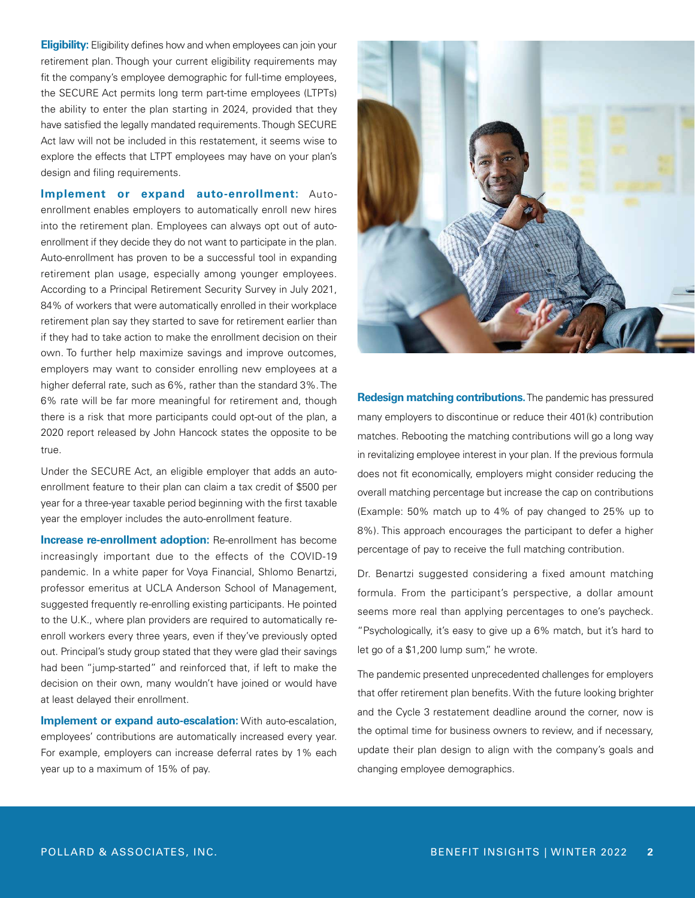**Eligibility:** Eligibility defines how and when employees can join your retirement plan. Though your current eligibility requirements may fit the company's employee demographic for full-time employees, the SECURE Act permits long term part-time employees (LTPTs) the ability to enter the plan starting in 2024, provided that they have satisfied the legally mandated requirements. Though SECURE Act law will not be included in this restatement, it seems wise to explore the effects that LTPT employees may have on your plan's design and filing requirements.

**Implement or expand auto-enrollment:** Autoenrollment enables employers to automatically enroll new hires into the retirement plan. Employees can always opt out of autoenrollment if they decide they do not want to participate in the plan. Auto-enrollment has proven to be a successful tool in expanding retirement plan usage, especially among younger employees. According to a Principal Retirement Security Survey in July 2021, 84% of workers that were automatically enrolled in their workplace retirement plan say they started to save for retirement earlier than if they had to take action to make the enrollment decision on their own. To further help maximize savings and improve outcomes, employers may want to consider enrolling new employees at a higher deferral rate, such as 6%, rather than the standard 3%. The 6% rate will be far more meaningful for retirement and, though there is a risk that more participants could opt-out of the plan, a 2020 report released by John Hancock states the opposite to be true.

Under the SECURE Act, an eligible employer that adds an autoenrollment feature to their plan can claim a tax credit of \$500 per year for a three-year taxable period beginning with the first taxable year the employer includes the auto-enrollment feature.

**Increase re-enrollment adoption:** Re-enrollment has become increasingly important due to the effects of the COVID-19 pandemic. In a white paper for Voya Financial, Shlomo Benartzi, professor emeritus at UCLA Anderson School of Management, suggested frequently re-enrolling existing participants. He pointed to the U.K., where plan providers are required to automatically reenroll workers every three years, even if they've previously opted out. Principal's study group stated that they were glad their savings had been "jump-started" and reinforced that, if left to make the decision on their own, many wouldn't have joined or would have at least delayed their enrollment.

**Implement or expand auto-escalation:** With auto-escalation, employees' contributions are automatically increased every year. For example, employers can increase deferral rates by 1% each year up to a maximum of 15% of pay.



**Redesign matching contributions.** The pandemic has pressured many employers to discontinue or reduce their 401(k) contribution matches. Rebooting the matching contributions will go a long way in revitalizing employee interest in your plan. If the previous formula does not fit economically, employers might consider reducing the overall matching percentage but increase the cap on contributions (Example: 50% match up to 4% of pay changed to 25% up to 8%). This approach encourages the participant to defer a higher percentage of pay to receive the full matching contribution.

Dr. Benartzi suggested considering a fixed amount matching formula. From the participant's perspective, a dollar amount seems more real than applying percentages to one's paycheck. "Psychologically, it's easy to give up a 6% match, but it's hard to let go of a \$1,200 lump sum," he wrote.

The pandemic presented unprecedented challenges for employers that offer retirement plan benefits. With the future looking brighter and the Cycle 3 restatement deadline around the corner, now is the optimal time for business owners to review, and if necessary, update their plan design to align with the company's goals and changing employee demographics.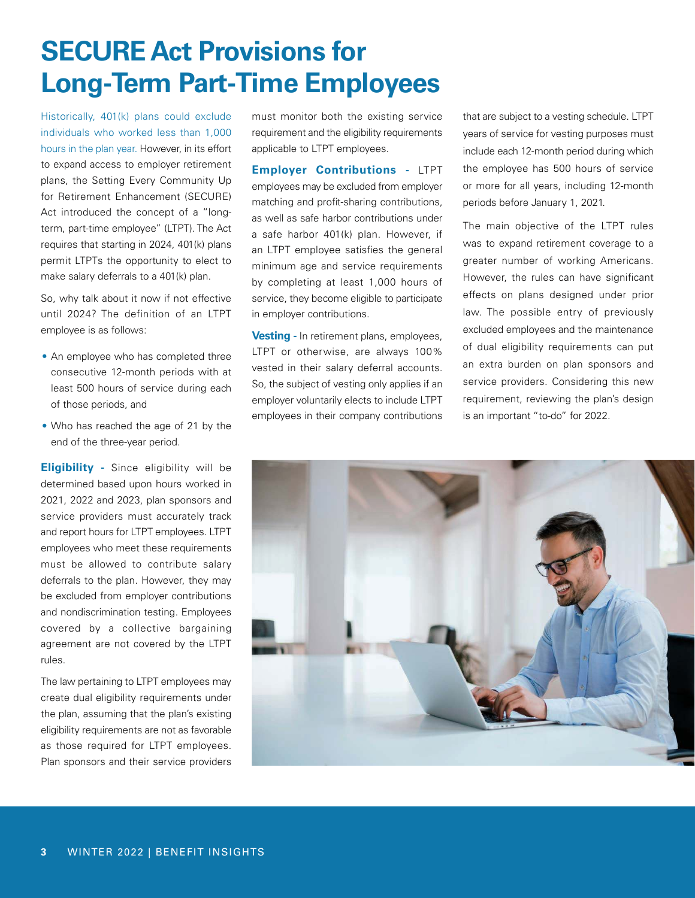# **SECURE Act Provisions for Long-Term Part-Time Employees**

Historically, 401(k) plans could exclude individuals who worked less than 1,000 hours in the plan year. However, in its effort to expand access to employer retirement plans, the Setting Every Community Up for Retirement Enhancement (SECURE) Act introduced the concept of a "longterm, part-time employee" (LTPT). The Act requires that starting in 2024, 401(k) plans permit LTPTs the opportunity to elect to make salary deferrals to a 401(k) plan.

So, why talk about it now if not effective until 2024? The definition of an LTPT employee is as follows:

- An employee who has completed three consecutive 12-month periods with at least 500 hours of service during each of those periods, and
- Who has reached the age of 21 by the end of the three-year period.

**Eligibility -** Since eligibility will be determined based upon hours worked in 2021, 2022 and 2023, plan sponsors and service providers must accurately track and report hours for LTPT employees. LTPT employees who meet these requirements must be allowed to contribute salary deferrals to the plan. However, they may be excluded from employer contributions and nondiscrimination testing. Employees covered by a collective bargaining agreement are not covered by the LTPT rules.

The law pertaining to LTPT employees may create dual eligibility requirements under the plan, assuming that the plan's existing eligibility requirements are not as favorable as those required for LTPT employees. Plan sponsors and their service providers

must monitor both the existing service requirement and the eligibility requirements applicable to LTPT employees.

**Employer Contributions -** LTPT employees may be excluded from employer matching and profit-sharing contributions, as well as safe harbor contributions under a safe harbor 401(k) plan. However, if an LTPT employee satisfies the general minimum age and service requirements by completing at least 1,000 hours of service, they become eligible to participate in employer contributions.

**Vesting -** In retirement plans, employees, LTPT or otherwise, are always 100% vested in their salary deferral accounts. So, the subject of vesting only applies if an employer voluntarily elects to include LTPT employees in their company contributions that are subject to a vesting schedule. LTPT years of service for vesting purposes must include each 12-month period during which the employee has 500 hours of service or more for all years, including 12-month periods before January 1, 2021.

The main objective of the LTPT rules was to expand retirement coverage to a greater number of working Americans. However, the rules can have significant effects on plans designed under prior law. The possible entry of previously excluded employees and the maintenance of dual eligibility requirements can put an extra burden on plan sponsors and service providers. Considering this new requirement, reviewing the plan's design is an important "to-do" for 2022.

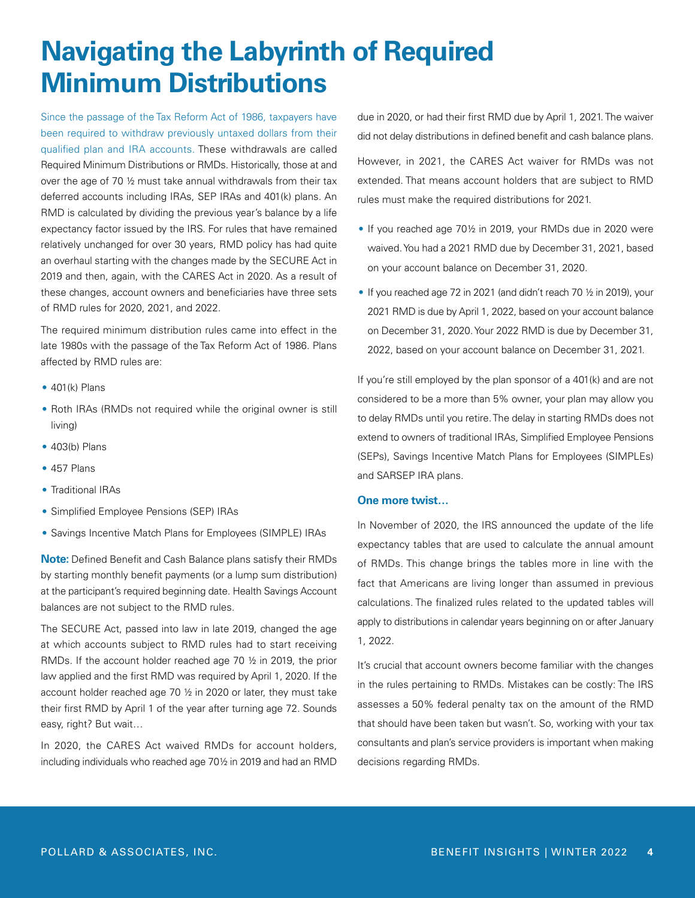# **Navigating the Labyrinth of Required Minimum Distributions**

Since the passage of the Tax Reform Act of 1986, taxpayers have been required to withdraw previously untaxed dollars from their qualified plan and IRA accounts. These withdrawals are called Required Minimum Distributions or RMDs. Historically, those at and over the age of 70 ½ must take annual withdrawals from their tax deferred accounts including IRAs, SEP IRAs and 401(k) plans. An RMD is calculated by dividing the previous year's balance by a life expectancy factor issued by the IRS. For rules that have remained relatively unchanged for over 30 years, RMD policy has had quite an overhaul starting with the changes made by the SECURE Act in 2019 and then, again, with the CARES Act in 2020. As a result of these changes, account owners and beneficiaries have three sets of RMD rules for 2020, 2021, and 2022.

The required minimum distribution rules came into effect in the late 1980s with the passage of the Tax Reform Act of 1986. Plans affected by RMD rules are:

- $\bullet$  401(k) Plans
- Roth IRAs (RMDs not required while the original owner is still living)
- 403(b) Plans
- 457 Plans
- Traditional IRAs
- Simplified Employee Pensions (SEP) IRAs
- Savings Incentive Match Plans for Employees (SIMPLE) IRAs

**Note:** Defined Benefit and Cash Balance plans satisfy their RMDs by starting monthly benefit payments (or a lump sum distribution) at the participant's required beginning date. Health Savings Account balances are not subject to the RMD rules.

The SECURE Act, passed into law in late 2019, changed the age at which accounts subject to RMD rules had to start receiving RMDs. If the account holder reached age 70 ½ in 2019, the prior law applied and the first RMD was required by April 1, 2020. If the account holder reached age 70 ½ in 2020 or later, they must take their first RMD by April 1 of the year after turning age 72. Sounds easy, right? But wait…

In 2020, the CARES Act waived RMDs for account holders, including individuals who reached age 70½ in 2019 and had an RMD due in 2020, or had their first RMD due by April 1, 2021. The waiver did not delay distributions in defined benefit and cash balance plans. However, in 2021, the CARES Act waiver for RMDs was not extended. That means account holders that are subject to RMD rules must make the required distributions for 2021.

- If you reached age 70½ in 2019, your RMDs due in 2020 were waived. You had a 2021 RMD due by December 31, 2021, based on your account balance on December 31, 2020.
- If you reached age 72 in 2021 (and didn't reach 70 ½ in 2019), your 2021 RMD is due by April 1, 2022, based on your account balance on December 31, 2020. Your 2022 RMD is due by December 31, 2022, based on your account balance on December 31, 2021.

If you're still employed by the plan sponsor of a 401(k) and are not considered to be a more than 5% owner, your plan may allow you to delay RMDs until you retire. The delay in starting RMDs does not extend to owners of traditional IRAs, Simplified Employee Pensions (SEPs), Savings Incentive Match Plans for Employees (SIMPLEs) and SARSEP IRA plans.

#### **One more twist…**

In November of 2020, the IRS announced the update of the life expectancy tables that are used to calculate the annual amount of RMDs. This change brings the tables more in line with the fact that Americans are living longer than assumed in previous calculations. The finalized rules related to the updated tables will apply to distributions in calendar years beginning on or after January 1, 2022.

It's crucial that account owners become familiar with the changes in the rules pertaining to RMDs. Mistakes can be costly: The IRS assesses a 50% federal penalty tax on the amount of the RMD that should have been taken but wasn't. So, working with your tax consultants and plan's service providers is important when making decisions regarding RMDs.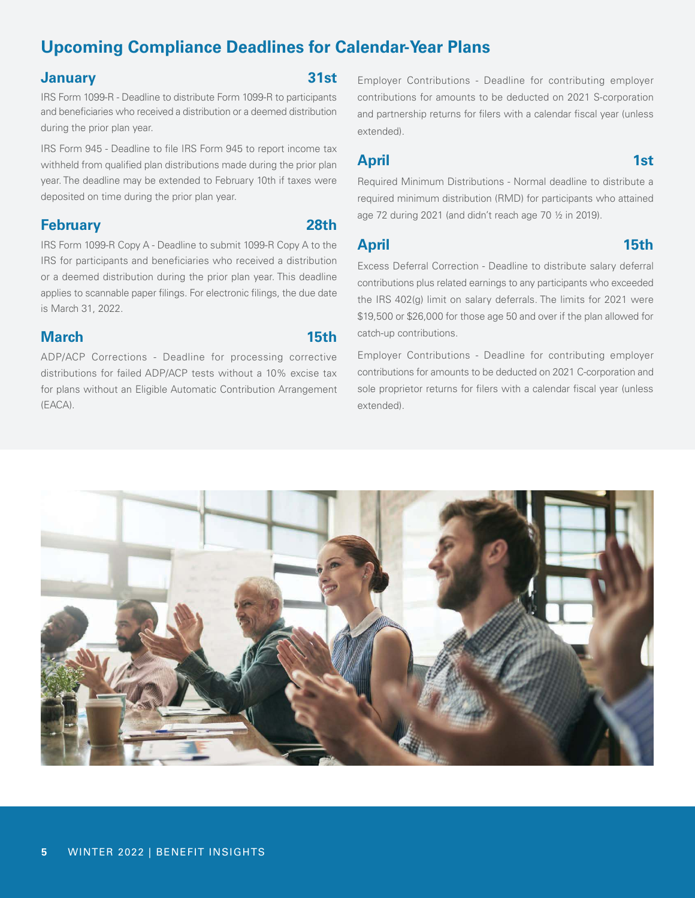## **Upcoming Compliance Deadlines for Calendar-Year Plans**

#### **January 31st**

IRS Form 1099-R - Deadline to distribute Form 1099-R to participants and beneficiaries who received a distribution or a deemed distribution during the prior plan year.

IRS Form 945 - Deadline to file IRS Form 945 to report income tax withheld from qualified plan distributions made during the prior plan year. The deadline may be extended to February 10th if taxes were deposited on time during the prior plan year.

### **February 28th**

IRS Form 1099-R Copy A - Deadline to submit 1099-R Copy A to the IRS for participants and beneficiaries who received a distribution or a deemed distribution during the prior plan year. This deadline applies to scannable paper filings. For electronic filings, the due date is March 31, 2022.

### **March 15th**

ADP/ACP Corrections - Deadline for processing corrective distributions for failed ADP/ACP tests without a 10% excise tax for plans without an Eligible Automatic Contribution Arrangement (EACA).

Employer Contributions - Deadline for contributing employer contributions for amounts to be deducted on 2021 S-corporation and partnership returns for filers with a calendar fiscal year (unless extended).

### **April 1st**

Required Minimum Distributions - Normal deadline to distribute a required minimum distribution (RMD) for participants who attained age 72 during 2021 (and didn't reach age 70 ½ in 2019).

### **April 15th**

Excess Deferral Correction - Deadline to distribute salary deferral contributions plus related earnings to any participants who exceeded the IRS 402(g) limit on salary deferrals. The limits for 2021 were \$19,500 or \$26,000 for those age 50 and over if the plan allowed for catch-up contributions.

Employer Contributions - Deadline for contributing employer contributions for amounts to be deducted on 2021 C-corporation and sole proprietor returns for filers with a calendar fiscal year (unless extended).